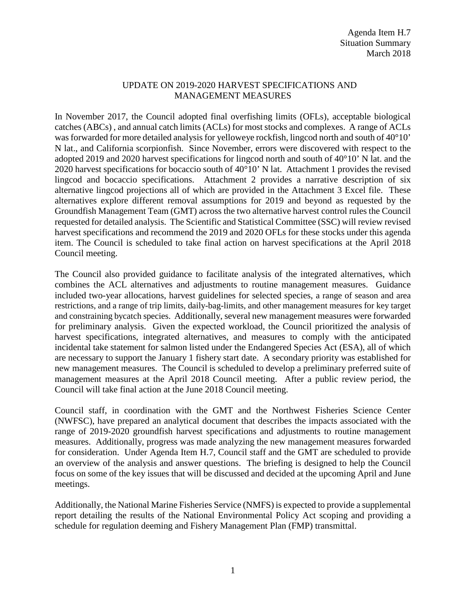## UPDATE ON 2019-2020 HARVEST SPECIFICATIONS AND MANAGEMENT MEASURES

In November 2017, the Council adopted final overfishing limits (OFLs), acceptable biological catches (ABCs) , and annual catch limits (ACLs) for most stocks and complexes. A range of ACLs was forwarded for more detailed analysis for yelloweye rockfish, lingcod north and south of 40°10' N lat., and California scorpionfish. Since November, errors were discovered with respect to the adopted 2019 and 2020 harvest specifications for lingcod north and south of 40°10' N lat. and the 2020 harvest specifications for bocaccio south of 40°10' N lat. Attachment 1 provides the revised lingcod and bocaccio specifications. Attachment 2 provides a narrative description of six alternative lingcod projections all of which are provided in the Attachment 3 Excel file. These alternatives explore different removal assumptions for 2019 and beyond as requested by the Groundfish Management Team (GMT) across the two alternative harvest control rules the Council requested for detailed analysis. The Scientific and Statistical Committee (SSC) will review revised harvest specifications and recommend the 2019 and 2020 OFLs for these stocks under this agenda item. The Council is scheduled to take final action on harvest specifications at the April 2018 Council meeting.

The Council also provided guidance to facilitate analysis of the integrated alternatives, which combines the ACL alternatives and adjustments to routine management measures. Guidance included two-year allocations, harvest guidelines for selected species, a range of season and area restrictions, and a range of trip limits, daily-bag-limits, and other management measures for key target and constraining bycatch species. Additionally, several new management measures were forwarded for preliminary analysis. Given the expected workload, the Council prioritized the analysis of harvest specifications, integrated alternatives, and measures to comply with the anticipated incidental take statement for salmon listed under the Endangered Species Act (ESA), all of which are necessary to support the January 1 fishery start date. A secondary priority was established for new management measures. The Council is scheduled to develop a preliminary preferred suite of management measures at the April 2018 Council meeting. After a public review period, the Council will take final action at the June 2018 Council meeting.

Council staff, in coordination with the GMT and the Northwest Fisheries Science Center (NWFSC), have prepared an analytical document that describes the impacts associated with the range of 2019-2020 groundfish harvest specifications and adjustments to routine management measures. Additionally, progress was made analyzing the new management measures forwarded for consideration. Under Agenda Item H.7, Council staff and the GMT are scheduled to provide an overview of the analysis and answer questions. The briefing is designed to help the Council focus on some of the key issues that will be discussed and decided at the upcoming April and June meetings.

Additionally, the National Marine Fisheries Service (NMFS) is expected to provide a supplemental report detailing the results of the National Environmental Policy Act scoping and providing a schedule for regulation deeming and Fishery Management Plan (FMP) transmittal.